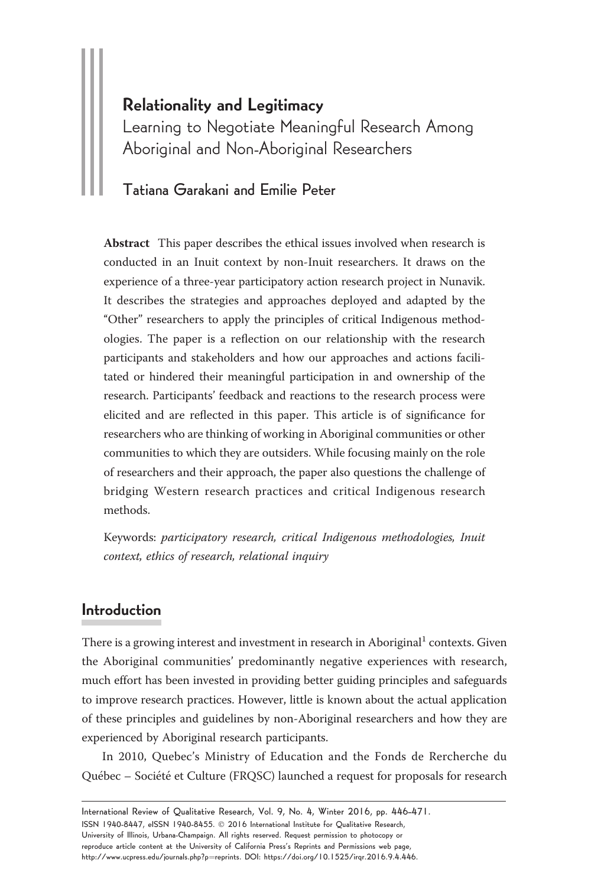## Relationality and Legitimacy

Learning to Negotiate Meaningful Research Among Aboriginal and Non-Aboriginal Researchers

## Tatiana Garakani and Emilie Peter

Abstract This paper describes the ethical issues involved when research is conducted in an Inuit context by non-Inuit researchers. It draws on the experience of a three-year participatory action research project in Nunavik. It describes the strategies and approaches deployed and adapted by the "Other" researchers to apply the principles of critical Indigenous methodologies. The paper is a reflection on our relationship with the research participants and stakeholders and how our approaches and actions facilitated or hindered their meaningful participation in and ownership of the research. Participants' feedback and reactions to the research process were elicited and are reflected in this paper. This article is of significance for researchers who are thinking of working in Aboriginal communities or other communities to which they are outsiders. While focusing mainly on the role of researchers and their approach, the paper also questions the challenge of bridging Western research practices and critical Indigenous research methods.

Keywords: participatory research, critical Indigenous methodologies, Inuit context, ethics of research, relational inquiry

## Introduction

There is a growing interest and investment in research in Aboriginal<sup>1</sup> contexts. Given the Aboriginal communities' predominantly negative experiences with research, much effort has been invested in providing better guiding principles and safeguards to improve research practices. However, little is known about the actual application of these principles and guidelines by non-Aboriginal researchers and how they are experienced by Aboriginal research participants.

In 2010, Quebec's Ministry of Education and the Fonds de Rercherche du Québec – Société et Culture (FRQSC) launched a request for proposals for research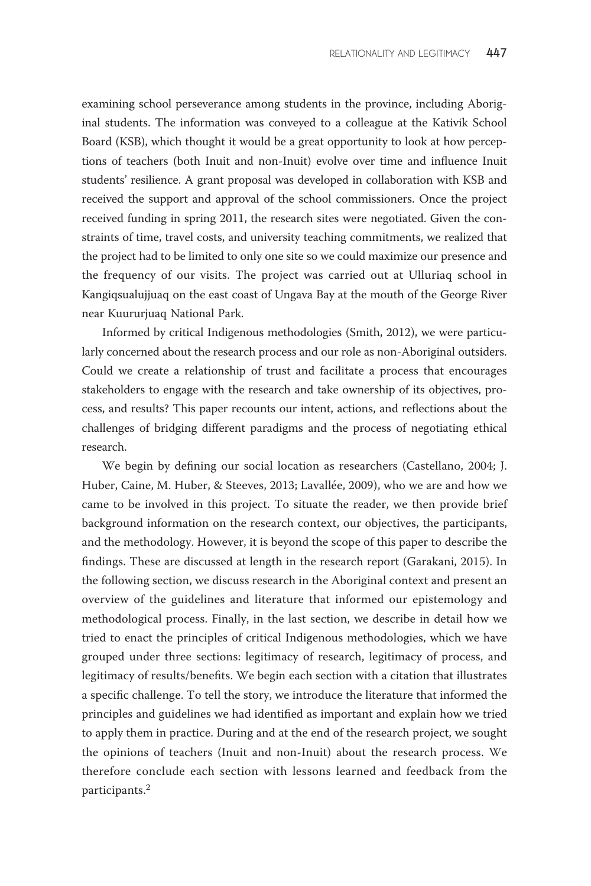examining school perseverance among students in the province, including Aboriginal students. The information was conveyed to a colleague at the Kativik School Board (KSB), which thought it would be a great opportunity to look at how perceptions of teachers (both Inuit and non-Inuit) evolve over time and influence Inuit students' resilience. A grant proposal was developed in collaboration with KSB and received the support and approval of the school commissioners. Once the project received funding in spring 2011, the research sites were negotiated. Given the constraints of time, travel costs, and university teaching commitments, we realized that the project had to be limited to only one site so we could maximize our presence and the frequency of our visits. The project was carried out at Ulluriaq school in Kangiqsualujjuaq on the east coast of Ungava Bay at the mouth of the George River near Kuururjuaq National Park.

Informed by critical Indigenous methodologies (Smith, 2012), we were particularly concerned about the research process and our role as non-Aboriginal outsiders. Could we create a relationship of trust and facilitate a process that encourages stakeholders to engage with the research and take ownership of its objectives, process, and results? This paper recounts our intent, actions, and reflections about the challenges of bridging different paradigms and the process of negotiating ethical research.

We begin by defining our social location as researchers (Castellano, 2004; J. Huber, Caine, M. Huber, & Steeves, 2013; Lavallée, 2009), who we are and how we came to be involved in this project. To situate the reader, we then provide brief background information on the research context, our objectives, the participants, and the methodology. However, it is beyond the scope of this paper to describe the findings. These are discussed at length in the research report (Garakani, 2015). In the following section, we discuss research in the Aboriginal context and present an overview of the guidelines and literature that informed our epistemology and methodological process. Finally, in the last section, we describe in detail how we tried to enact the principles of critical Indigenous methodologies, which we have grouped under three sections: legitimacy of research, legitimacy of process, and legitimacy of results/benefits. We begin each section with a citation that illustrates a specific challenge. To tell the story, we introduce the literature that informed the principles and guidelines we had identified as important and explain how we tried to apply them in practice. During and at the end of the research project, we sought the opinions of teachers (Inuit and non-Inuit) about the research process. We therefore conclude each section with lessons learned and feedback from the participants.<sup>2</sup>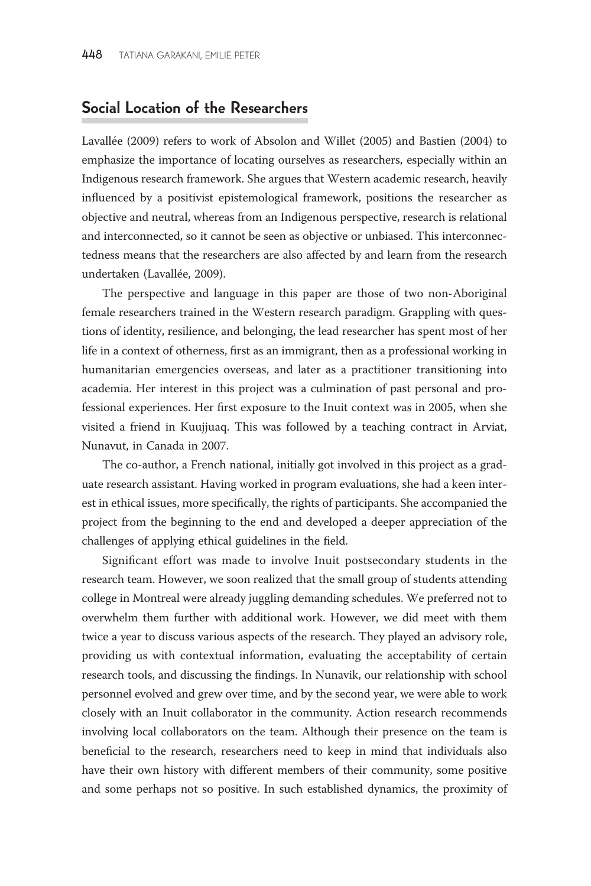#### Social Location of the Researchers

Lavallée (2009) refers to work of Absolon and Willet (2005) and Bastien (2004) to emphasize the importance of locating ourselves as researchers, especially within an Indigenous research framework. She argues that Western academic research, heavily influenced by a positivist epistemological framework, positions the researcher as objective and neutral, whereas from an Indigenous perspective, research is relational and interconnected, so it cannot be seen as objective or unbiased. This interconnectedness means that the researchers are also affected by and learn from the research undertaken (Lavallée, 2009).

The perspective and language in this paper are those of two non-Aboriginal female researchers trained in the Western research paradigm. Grappling with questions of identity, resilience, and belonging, the lead researcher has spent most of her life in a context of otherness, first as an immigrant, then as a professional working in humanitarian emergencies overseas, and later as a practitioner transitioning into academia. Her interest in this project was a culmination of past personal and professional experiences. Her first exposure to the Inuit context was in 2005, when she visited a friend in Kuujjuaq. This was followed by a teaching contract in Arviat, Nunavut, in Canada in 2007.

The co-author, a French national, initially got involved in this project as a graduate research assistant. Having worked in program evaluations, she had a keen interest in ethical issues, more specifically, the rights of participants. She accompanied the project from the beginning to the end and developed a deeper appreciation of the challenges of applying ethical guidelines in the field.

Significant effort was made to involve Inuit postsecondary students in the research team. However, we soon realized that the small group of students attending college in Montreal were already juggling demanding schedules. We preferred not to overwhelm them further with additional work. However, we did meet with them twice a year to discuss various aspects of the research. They played an advisory role, providing us with contextual information, evaluating the acceptability of certain research tools, and discussing the findings. In Nunavik, our relationship with school personnel evolved and grew over time, and by the second year, we were able to work closely with an Inuit collaborator in the community. Action research recommends involving local collaborators on the team. Although their presence on the team is beneficial to the research, researchers need to keep in mind that individuals also have their own history with different members of their community, some positive and some perhaps not so positive. In such established dynamics, the proximity of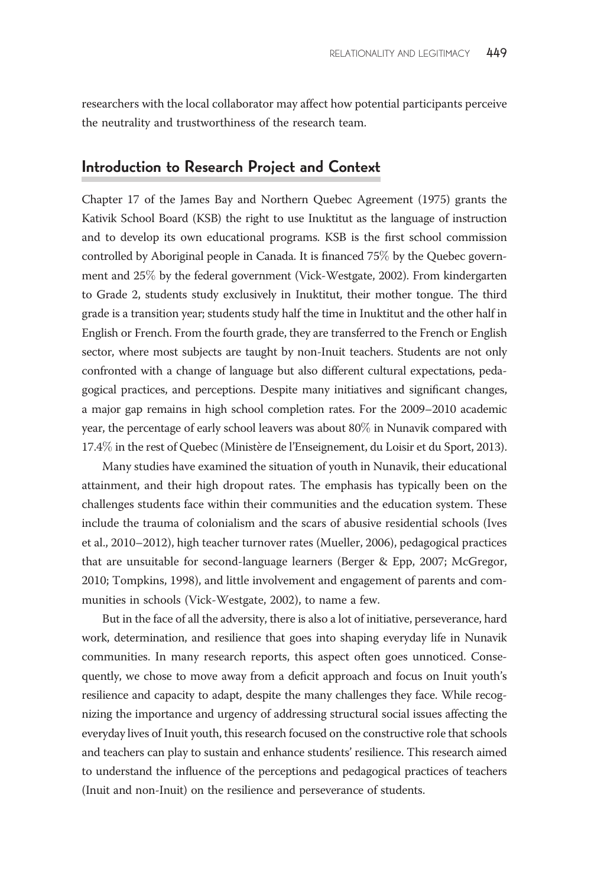researchers with the local collaborator may affect how potential participants perceive the neutrality and trustworthiness of the research team.

### Introduction to Research Project and Context

Chapter 17 of the James Bay and Northern Quebec Agreement (1975) grants the Kativik School Board (KSB) the right to use Inuktitut as the language of instruction and to develop its own educational programs. KSB is the first school commission controlled by Aboriginal people in Canada. It is financed 75% by the Quebec government and 25% by the federal government (Vick-Westgate, 2002). From kindergarten to Grade 2, students study exclusively in Inuktitut, their mother tongue. The third grade is a transition year; students study half the time in Inuktitut and the other half in English or French. From the fourth grade, they are transferred to the French or English sector, where most subjects are taught by non-Inuit teachers. Students are not only confronted with a change of language but also different cultural expectations, pedagogical practices, and perceptions. Despite many initiatives and significant changes, a major gap remains in high school completion rates. For the 2009–2010 academic year, the percentage of early school leavers was about 80% in Nunavik compared with 17.4% in the rest of Quebec (Ministère de l'Enseignement, du Loisir et du Sport, 2013).

Many studies have examined the situation of youth in Nunavik, their educational attainment, and their high dropout rates. The emphasis has typically been on the challenges students face within their communities and the education system. These include the trauma of colonialism and the scars of abusive residential schools (Ives et al., 2010–2012), high teacher turnover rates (Mueller, 2006), pedagogical practices that are unsuitable for second-language learners (Berger & Epp, 2007; McGregor, 2010; Tompkins, 1998), and little involvement and engagement of parents and communities in schools (Vick-Westgate, 2002), to name a few.

But in the face of all the adversity, there is also a lot of initiative, perseverance, hard work, determination, and resilience that goes into shaping everyday life in Nunavik communities. In many research reports, this aspect often goes unnoticed. Consequently, we chose to move away from a deficit approach and focus on Inuit youth's resilience and capacity to adapt, despite the many challenges they face. While recognizing the importance and urgency of addressing structural social issues affecting the everyday lives of Inuit youth, this research focused on the constructive role that schools and teachers can play to sustain and enhance students' resilience. This research aimed to understand the influence of the perceptions and pedagogical practices of teachers (Inuit and non-Inuit) on the resilience and perseverance of students.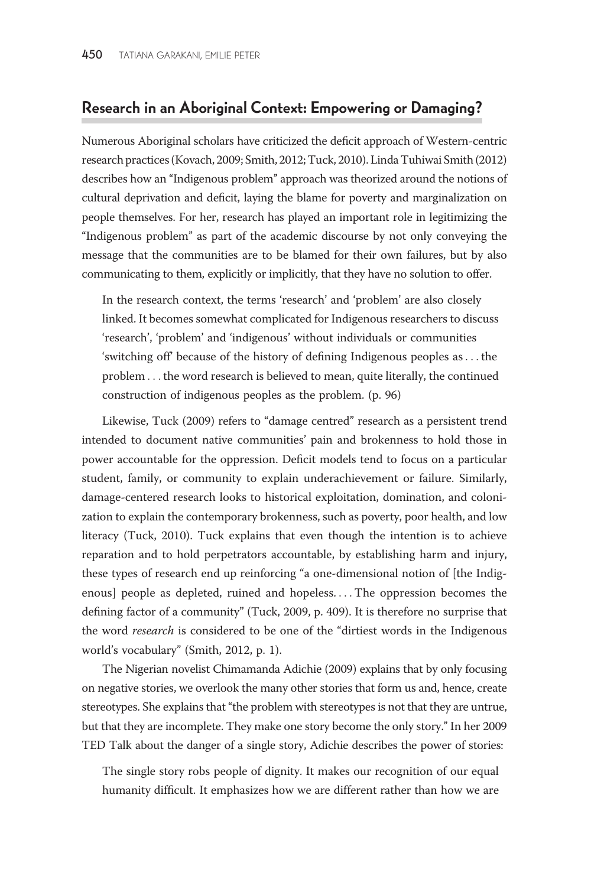#### Research in an Aboriginal Context: Empowering or Damaging?

Numerous Aboriginal scholars have criticized the deficit approach of Western-centric research practices (Kovach, 2009; Smith, 2012; Tuck, 2010). Linda Tuhiwai Smith (2012) describes how an ''Indigenous problem'' approach was theorized around the notions of cultural deprivation and deficit, laying the blame for poverty and marginalization on people themselves. For her, research has played an important role in legitimizing the ''Indigenous problem'' as part of the academic discourse by not only conveying the message that the communities are to be blamed for their own failures, but by also communicating to them, explicitly or implicitly, that they have no solution to offer.

In the research context, the terms 'research' and 'problem' are also closely linked. It becomes somewhat complicated for Indigenous researchers to discuss 'research', 'problem' and 'indigenous' without individuals or communities 'switching off' because of the history of defining Indigenous peoples as... the problem ... the word research is believed to mean, quite literally, the continued construction of indigenous peoples as the problem. (p. 96)

Likewise, Tuck (2009) refers to "damage centred" research as a persistent trend intended to document native communities' pain and brokenness to hold those in power accountable for the oppression. Deficit models tend to focus on a particular student, family, or community to explain underachievement or failure. Similarly, damage-centered research looks to historical exploitation, domination, and colonization to explain the contemporary brokenness, such as poverty, poor health, and low literacy (Tuck, 2010). Tuck explains that even though the intention is to achieve reparation and to hold perpetrators accountable, by establishing harm and injury, these types of research end up reinforcing ''a one-dimensional notion of [the Indigenous] people as depleted, ruined and hopeless. ...The oppression becomes the defining factor of a community'' (Tuck, 2009, p. 409). It is therefore no surprise that the word research is considered to be one of the "dirtiest words in the Indigenous world's vocabulary'' (Smith, 2012, p. 1).

The Nigerian novelist Chimamanda Adichie (2009) explains that by only focusing on negative stories, we overlook the many other stories that form us and, hence, create stereotypes. She explains that ''the problem with stereotypes is not that they are untrue, but that they are incomplete. They make one story become the only story.'' In her 2009 TED Talk about the danger of a single story, Adichie describes the power of stories:

The single story robs people of dignity. It makes our recognition of our equal humanity difficult. It emphasizes how we are different rather than how we are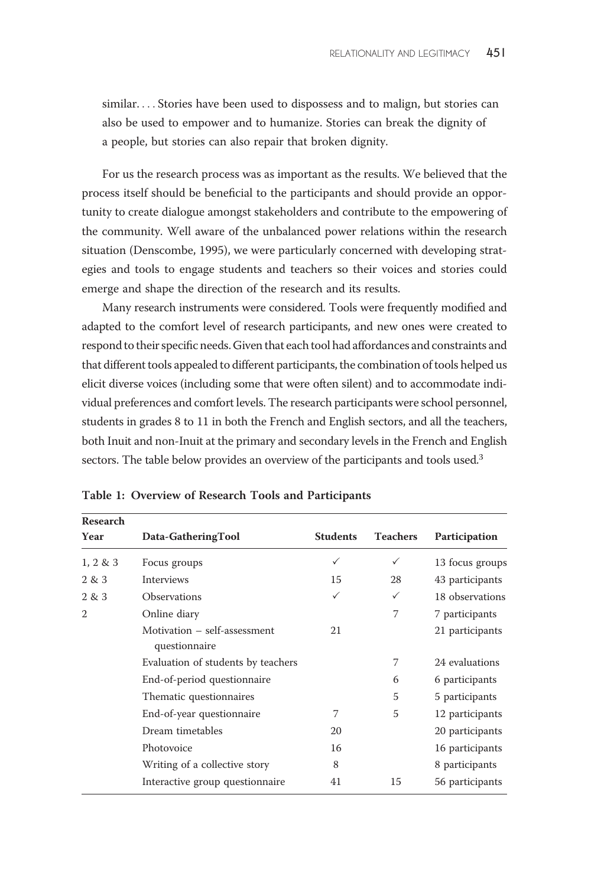similar. ... Stories have been used to dispossess and to malign, but stories can also be used to empower and to humanize. Stories can break the dignity of a people, but stories can also repair that broken dignity.

For us the research process was as important as the results. We believed that the process itself should be beneficial to the participants and should provide an opportunity to create dialogue amongst stakeholders and contribute to the empowering of the community. Well aware of the unbalanced power relations within the research situation (Denscombe, 1995), we were particularly concerned with developing strategies and tools to engage students and teachers so their voices and stories could emerge and shape the direction of the research and its results.

Many research instruments were considered. Tools were frequently modified and adapted to the comfort level of research participants, and new ones were created to respond to their specific needs. Given that each tool had affordances and constraints and that different tools appealed to different participants, the combination of tools helped us elicit diverse voices (including some that were often silent) and to accommodate individual preferences and comfort levels. The research participants were school personnel, students in grades 8 to 11 in both the French and English sectors, and all the teachers, both Inuit and non-Inuit at the primary and secondary levels in the French and English sectors. The table below provides an overview of the participants and tools used.<sup>3</sup>

| Research       |                                               |                 |                 |                 |
|----------------|-----------------------------------------------|-----------------|-----------------|-----------------|
| Year           | Data-GatheringTool                            | <b>Students</b> | <b>Teachers</b> | Participation   |
| $1, 2 \& 3$    | Focus groups                                  | ✓               | ✓               | 13 focus groups |
| 2 & 3          | Interviews                                    | 15              | 28              | 43 participants |
| 2 & 3          | <b>Observations</b>                           | ✓               | ✓               | 18 observations |
| $\mathfrak{2}$ | Online diary                                  |                 | 7               | 7 participants  |
|                | Motivation - self-assessment<br>questionnaire | 21              |                 | 21 participants |
|                | Evaluation of students by teachers            |                 | 7               | 24 evaluations  |
|                | End-of-period questionnaire                   |                 | 6               | 6 participants  |
|                | Thematic questionnaires                       |                 | 5               | 5 participants  |
|                | End-of-year questionnaire                     | $\overline{7}$  | 5               | 12 participants |
|                | Dream timetables                              | 20              |                 | 20 participants |
|                | Photovoice                                    | 16              |                 | 16 participants |
|                | Writing of a collective story                 | 8               |                 | 8 participants  |
|                | Interactive group questionnaire               | 41              | 15              | 56 participants |
|                |                                               |                 |                 |                 |

Table 1: Overview of Research Tools and Participants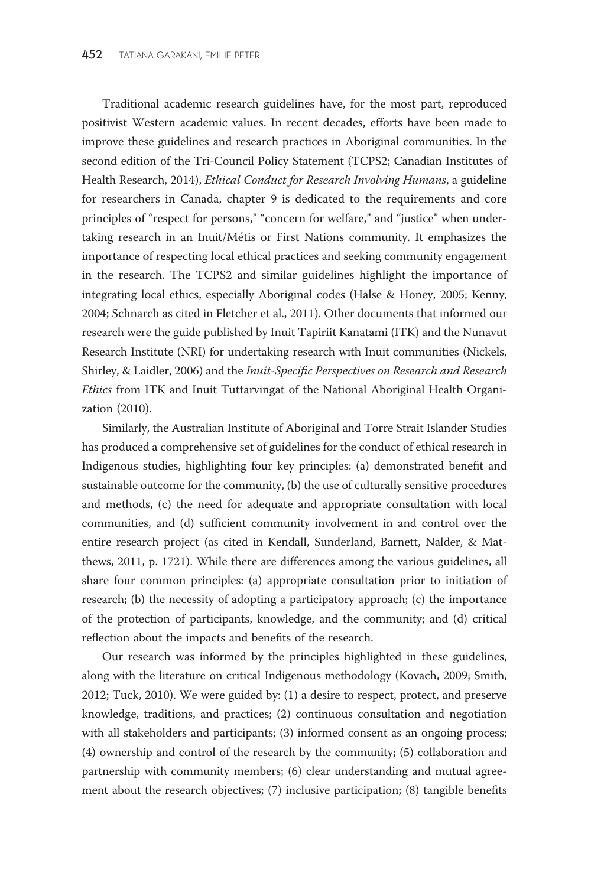Traditional academic research guidelines have, for the most part, reproduced positivist Western academic values. In recent decades, efforts have been made to improve these guidelines and research practices in Aboriginal communities. In the second edition of the Tri-Council Policy Statement (TCPS2; Canadian Institutes of Health Research, 2014), Ethical Conduct for Research Involving Humans, a guideline for researchers in Canada, chapter 9 is dedicated to the requirements and core principles of "respect for persons," "concern for welfare," and "justice" when undertaking research in an Inuit/Métis or First Nations community. It emphasizes the importance of respecting local ethical practices and seeking community engagement in the research. The TCPS2 and similar guidelines highlight the importance of integrating local ethics, especially Aboriginal codes (Halse & Honey, 2005; Kenny, 2004; Schnarch as cited in Fletcher et al., 2011). Other documents that informed our research were the guide published by Inuit Tapiriit Kanatami (ITK) and the Nunavut Research Institute (NRI) for undertaking research with Inuit communities (Nickels, Shirley, & Laidler, 2006) and the Inuit-Specific Perspectives on Research and Research Ethics from ITK and Inuit Tuttarvingat of the National Aboriginal Health Organization (2010).

Similarly, the Australian Institute of Aboriginal and Torre Strait Islander Studies has produced a comprehensive set of guidelines for the conduct of ethical research in Indigenous studies, highlighting four key principles: (a) demonstrated benefit and sustainable outcome for the community, (b) the use of culturally sensitive procedures and methods, (c) the need for adequate and appropriate consultation with local communities, and (d) sufficient community involvement in and control over the entire research project (as cited in Kendall, Sunderland, Barnett, Nalder, & Matthews, 2011, p. 1721). While there are differences among the various guidelines, all share four common principles: (a) appropriate consultation prior to initiation of research; (b) the necessity of adopting a participatory approach; (c) the importance of the protection of participants, knowledge, and the community; and (d) critical reflection about the impacts and benefits of the research.

Our research was informed by the principles highlighted in these guidelines, along with the literature on critical Indigenous methodology (Kovach, 2009; Smith, 2012; Tuck, 2010). We were guided by: (1) a desire to respect, protect, and preserve knowledge, traditions, and practices; (2) continuous consultation and negotiation with all stakeholders and participants; (3) informed consent as an ongoing process; (4) ownership and control of the research by the community; (5) collaboration and partnership with community members; (6) clear understanding and mutual agreement about the research objectives; (7) inclusive participation; (8) tangible benefits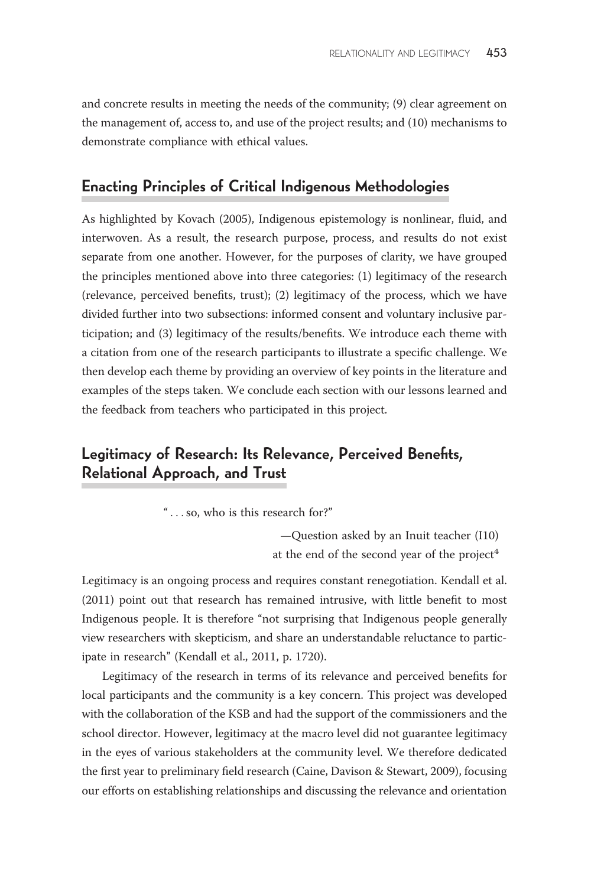and concrete results in meeting the needs of the community; (9) clear agreement on the management of, access to, and use of the project results; and (10) mechanisms to demonstrate compliance with ethical values.

# Enacting Principles of Critical Indigenous Methodologies

As highlighted by Kovach (2005), Indigenous epistemology is nonlinear, fluid, and interwoven. As a result, the research purpose, process, and results do not exist separate from one another. However, for the purposes of clarity, we have grouped the principles mentioned above into three categories: (1) legitimacy of the research (relevance, perceived benefits, trust); (2) legitimacy of the process, which we have divided further into two subsections: informed consent and voluntary inclusive participation; and (3) legitimacy of the results/benefits. We introduce each theme with a citation from one of the research participants to illustrate a specific challenge. We then develop each theme by providing an overview of key points in the literature and examples of the steps taken. We conclude each section with our lessons learned and the feedback from teachers who participated in this project.

# Legitimacy of Research: Its Relevance, Perceived Benefits, Relational Approach, and Trust

'' ...so, who is this research for?''

—Question asked by an Inuit teacher (I10) at the end of the second year of the project<sup>4</sup>

Legitimacy is an ongoing process and requires constant renegotiation. Kendall et al. (2011) point out that research has remained intrusive, with little benefit to most Indigenous people. It is therefore ''not surprising that Indigenous people generally view researchers with skepticism, and share an understandable reluctance to participate in research'' (Kendall et al., 2011, p. 1720).

Legitimacy of the research in terms of its relevance and perceived benefits for local participants and the community is a key concern. This project was developed with the collaboration of the KSB and had the support of the commissioners and the school director. However, legitimacy at the macro level did not guarantee legitimacy in the eyes of various stakeholders at the community level. We therefore dedicated the first year to preliminary field research (Caine, Davison & Stewart, 2009), focusing our efforts on establishing relationships and discussing the relevance and orientation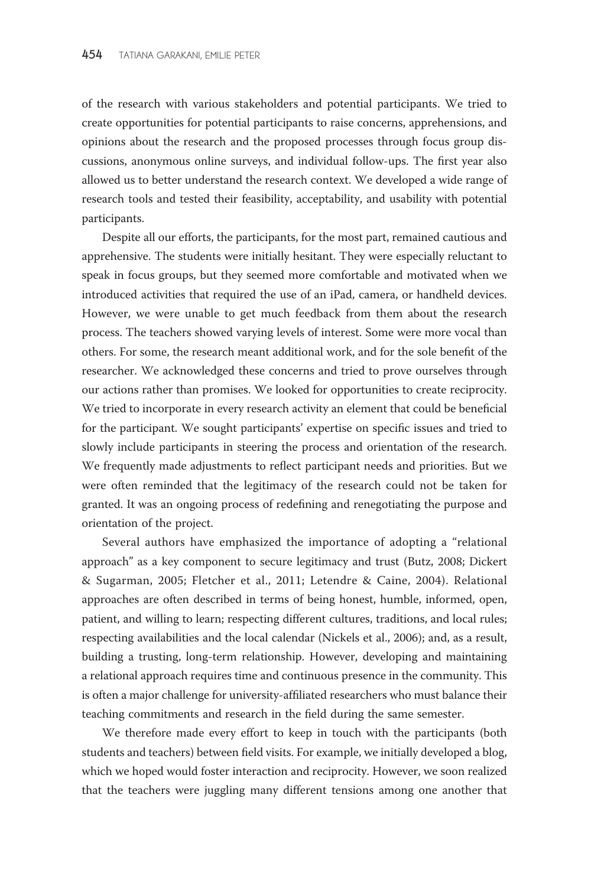of the research with various stakeholders and potential participants. We tried to create opportunities for potential participants to raise concerns, apprehensions, and opinions about the research and the proposed processes through focus group discussions, anonymous online surveys, and individual follow-ups. The first year also allowed us to better understand the research context. We developed a wide range of research tools and tested their feasibility, acceptability, and usability with potential participants.

Despite all our efforts, the participants, for the most part, remained cautious and apprehensive. The students were initially hesitant. They were especially reluctant to speak in focus groups, but they seemed more comfortable and motivated when we introduced activities that required the use of an iPad, camera, or handheld devices. However, we were unable to get much feedback from them about the research process. The teachers showed varying levels of interest. Some were more vocal than others. For some, the research meant additional work, and for the sole benefit of the researcher. We acknowledged these concerns and tried to prove ourselves through our actions rather than promises. We looked for opportunities to create reciprocity. We tried to incorporate in every research activity an element that could be beneficial for the participant. We sought participants' expertise on specific issues and tried to slowly include participants in steering the process and orientation of the research. We frequently made adjustments to reflect participant needs and priorities. But we were often reminded that the legitimacy of the research could not be taken for granted. It was an ongoing process of redefining and renegotiating the purpose and orientation of the project.

Several authors have emphasized the importance of adopting a ''relational approach'' as a key component to secure legitimacy and trust (Butz, 2008; Dickert & Sugarman, 2005; Fletcher et al., 2011; Letendre & Caine, 2004). Relational approaches are often described in terms of being honest, humble, informed, open, patient, and willing to learn; respecting different cultures, traditions, and local rules; respecting availabilities and the local calendar (Nickels et al., 2006); and, as a result, building a trusting, long-term relationship. However, developing and maintaining a relational approach requires time and continuous presence in the community. This is often a major challenge for university-affiliated researchers who must balance their teaching commitments and research in the field during the same semester.

We therefore made every effort to keep in touch with the participants (both students and teachers) between field visits. For example, we initially developed a blog, which we hoped would foster interaction and reciprocity. However, we soon realized that the teachers were juggling many different tensions among one another that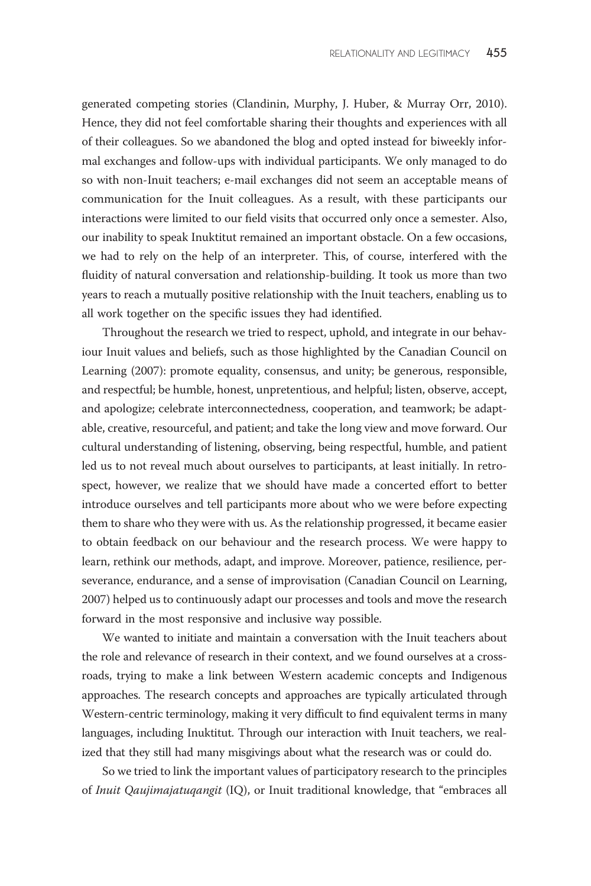generated competing stories (Clandinin, Murphy, J. Huber, & Murray Orr, 2010). Hence, they did not feel comfortable sharing their thoughts and experiences with all of their colleagues. So we abandoned the blog and opted instead for biweekly informal exchanges and follow-ups with individual participants. We only managed to do so with non-Inuit teachers; e-mail exchanges did not seem an acceptable means of communication for the Inuit colleagues. As a result, with these participants our interactions were limited to our field visits that occurred only once a semester. Also, our inability to speak Inuktitut remained an important obstacle. On a few occasions, we had to rely on the help of an interpreter. This, of course, interfered with the fluidity of natural conversation and relationship-building. It took us more than two years to reach a mutually positive relationship with the Inuit teachers, enabling us to all work together on the specific issues they had identified.

Throughout the research we tried to respect, uphold, and integrate in our behaviour Inuit values and beliefs, such as those highlighted by the Canadian Council on Learning (2007): promote equality, consensus, and unity; be generous, responsible, and respectful; be humble, honest, unpretentious, and helpful; listen, observe, accept, and apologize; celebrate interconnectedness, cooperation, and teamwork; be adaptable, creative, resourceful, and patient; and take the long view and move forward. Our cultural understanding of listening, observing, being respectful, humble, and patient led us to not reveal much about ourselves to participants, at least initially. In retrospect, however, we realize that we should have made a concerted effort to better introduce ourselves and tell participants more about who we were before expecting them to share who they were with us. As the relationship progressed, it became easier to obtain feedback on our behaviour and the research process. We were happy to learn, rethink our methods, adapt, and improve. Moreover, patience, resilience, perseverance, endurance, and a sense of improvisation (Canadian Council on Learning, 2007) helped us to continuously adapt our processes and tools and move the research forward in the most responsive and inclusive way possible.

We wanted to initiate and maintain a conversation with the Inuit teachers about the role and relevance of research in their context, and we found ourselves at a crossroads, trying to make a link between Western academic concepts and Indigenous approaches. The research concepts and approaches are typically articulated through Western-centric terminology, making it very difficult to find equivalent terms in many languages, including Inuktitut. Through our interaction with Inuit teachers, we realized that they still had many misgivings about what the research was or could do.

So we tried to link the important values of participatory research to the principles of Inuit Qaujimajatuqangit (IQ), or Inuit traditional knowledge, that "embraces all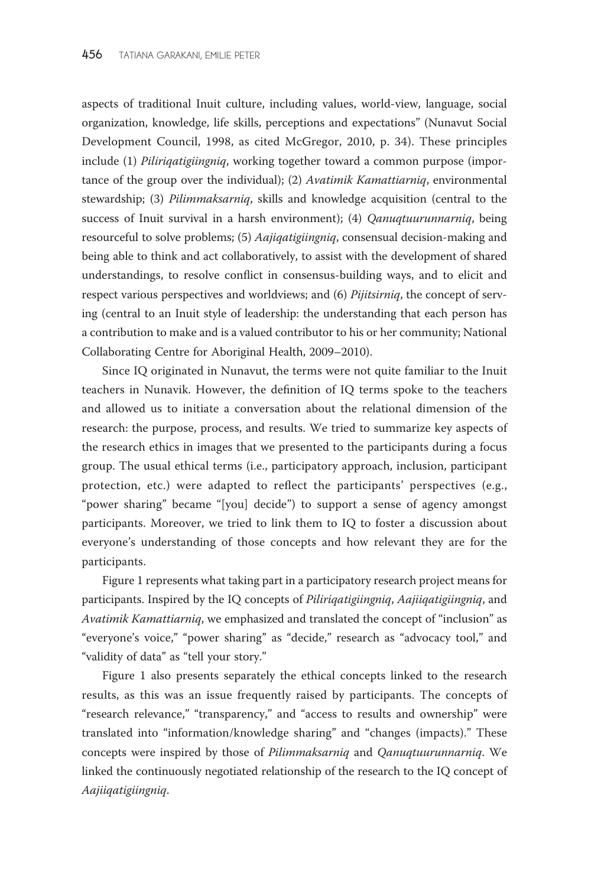aspects of traditional Inuit culture, including values, world-view, language, social organization, knowledge, life skills, perceptions and expectations'' (Nunavut Social Development Council, 1998, as cited McGregor, 2010, p. 34). These principles include (1) *Piliriqatigiingniq*, working together toward a common purpose (importance of the group over the individual); (2) Avatimik Kamattiarniq, environmental stewardship; (3) Pilimmaksarniq, skills and knowledge acquisition (central to the success of Inuit survival in a harsh environment); (4) Qanuqtuurunnarniq, being resourceful to solve problems; (5) Aajiqatigiingniq, consensual decision-making and being able to think and act collaboratively, to assist with the development of shared understandings, to resolve conflict in consensus-building ways, and to elicit and respect various perspectives and worldviews; and (6) Pijitsirniq, the concept of serving (central to an Inuit style of leadership: the understanding that each person has a contribution to make and is a valued contributor to his or her community; National Collaborating Centre for Aboriginal Health, 2009–2010).

Since IQ originated in Nunavut, the terms were not quite familiar to the Inuit teachers in Nunavik. However, the definition of IQ terms spoke to the teachers and allowed us to initiate a conversation about the relational dimension of the research: the purpose, process, and results. We tried to summarize key aspects of the research ethics in images that we presented to the participants during a focus group. The usual ethical terms (i.e., participatory approach, inclusion, participant protection, etc.) were adapted to reflect the participants' perspectives (e.g., ''power sharing'' became ''[you] decide'') to support a sense of agency amongst participants. Moreover, we tried to link them to IQ to foster a discussion about everyone's understanding of those concepts and how relevant they are for the participants.

Figure 1 represents what taking part in a participatory research project means for participants. Inspired by the IQ concepts of Piliriqatigiingniq, Aajiiqatigiingniq, and Avatimik Kamattiarniq, we emphasized and translated the concept of "inclusion" as "everyone's voice," "power sharing" as "decide," research as "advocacy tool," and ''validity of data'' as ''tell your story.''

Figure 1 also presents separately the ethical concepts linked to the research results, as this was an issue frequently raised by participants. The concepts of "research relevance," "transparency," and "access to results and ownership" were translated into ''information/knowledge sharing'' and ''changes (impacts).'' These concepts were inspired by those of Pilimmaksarniq and Qanuqtuurunnarniq. We linked the continuously negotiated relationship of the research to the IQ concept of Aajiiqatigiingniq.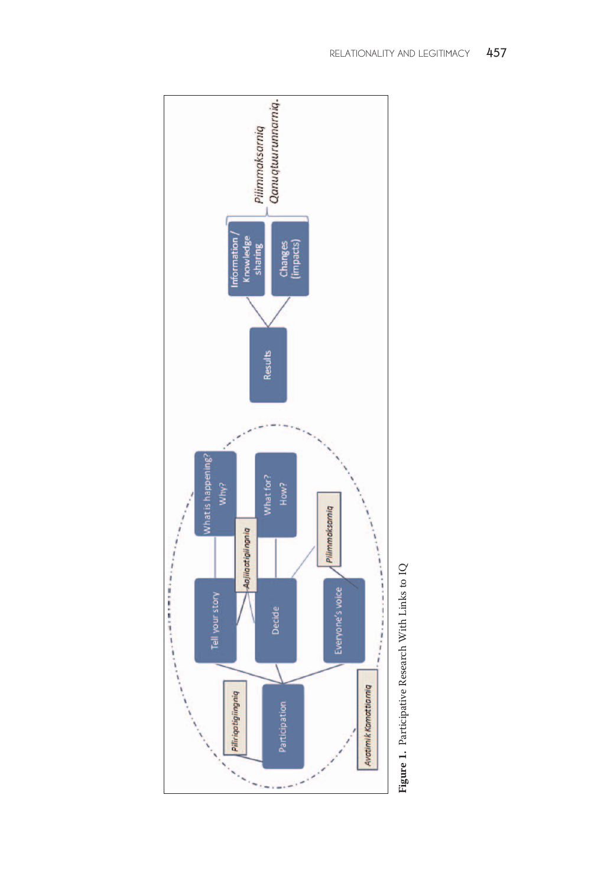

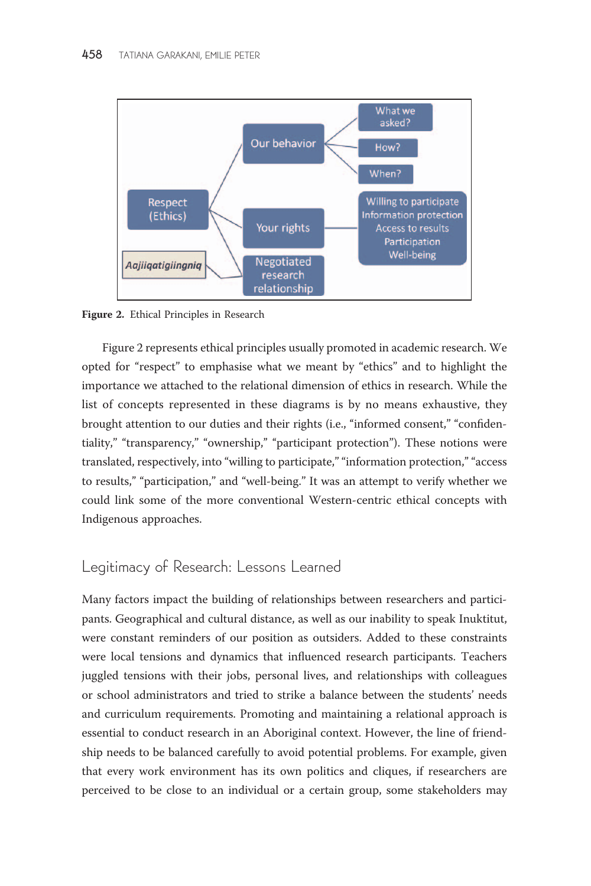

Figure 2. Ethical Principles in Research

Figure 2 represents ethical principles usually promoted in academic research. We opted for ''respect'' to emphasise what we meant by ''ethics'' and to highlight the importance we attached to the relational dimension of ethics in research. While the list of concepts represented in these diagrams is by no means exhaustive, they brought attention to our duties and their rights (i.e., "informed consent," "confidentiality," "transparency," "ownership," "participant protection"). These notions were translated, respectively, into "willing to participate," "information protection," "access to results," "participation," and "well-being." It was an attempt to verify whether we could link some of the more conventional Western-centric ethical concepts with Indigenous approaches.

## Legitimacy of Research: Lessons Learned

Many factors impact the building of relationships between researchers and participants. Geographical and cultural distance, as well as our inability to speak Inuktitut, were constant reminders of our position as outsiders. Added to these constraints were local tensions and dynamics that influenced research participants. Teachers juggled tensions with their jobs, personal lives, and relationships with colleagues or school administrators and tried to strike a balance between the students' needs and curriculum requirements. Promoting and maintaining a relational approach is essential to conduct research in an Aboriginal context. However, the line of friendship needs to be balanced carefully to avoid potential problems. For example, given that every work environment has its own politics and cliques, if researchers are perceived to be close to an individual or a certain group, some stakeholders may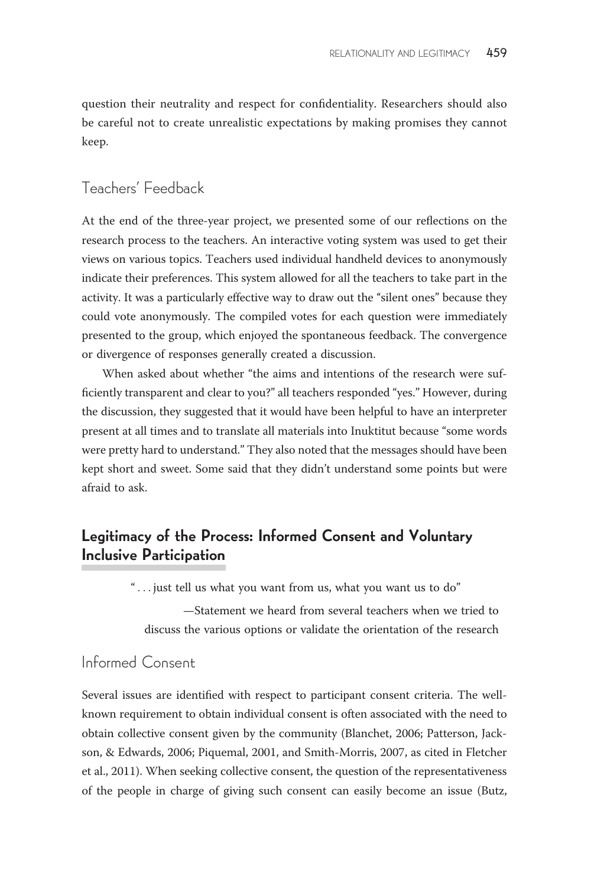question their neutrality and respect for confidentiality. Researchers should also be careful not to create unrealistic expectations by making promises they cannot keep.

### Teachers' Feedback

At the end of the three-year project, we presented some of our reflections on the research process to the teachers. An interactive voting system was used to get their views on various topics. Teachers used individual handheld devices to anonymously indicate their preferences. This system allowed for all the teachers to take part in the activity. It was a particularly effective way to draw out the "silent ones" because they could vote anonymously. The compiled votes for each question were immediately presented to the group, which enjoyed the spontaneous feedback. The convergence or divergence of responses generally created a discussion.

When asked about whether "the aims and intentions of the research were sufficiently transparent and clear to you?'' all teachers responded ''yes.'' However, during the discussion, they suggested that it would have been helpful to have an interpreter present at all times and to translate all materials into Inuktitut because ''some words were pretty hard to understand.'' They also noted that the messages should have been kept short and sweet. Some said that they didn't understand some points but were afraid to ask.

# Legitimacy of the Process: Informed Consent and Voluntary Inclusive Participation

'' ... just tell us what you want from us, what you want us to do''

—Statement we heard from several teachers when we tried to discuss the various options or validate the orientation of the research

# Informed Consent

Several issues are identified with respect to participant consent criteria. The wellknown requirement to obtain individual consent is often associated with the need to obtain collective consent given by the community (Blanchet, 2006; Patterson, Jackson, & Edwards, 2006; Piquemal, 2001, and Smith-Morris, 2007, as cited in Fletcher et al., 2011). When seeking collective consent, the question of the representativeness of the people in charge of giving such consent can easily become an issue (Butz,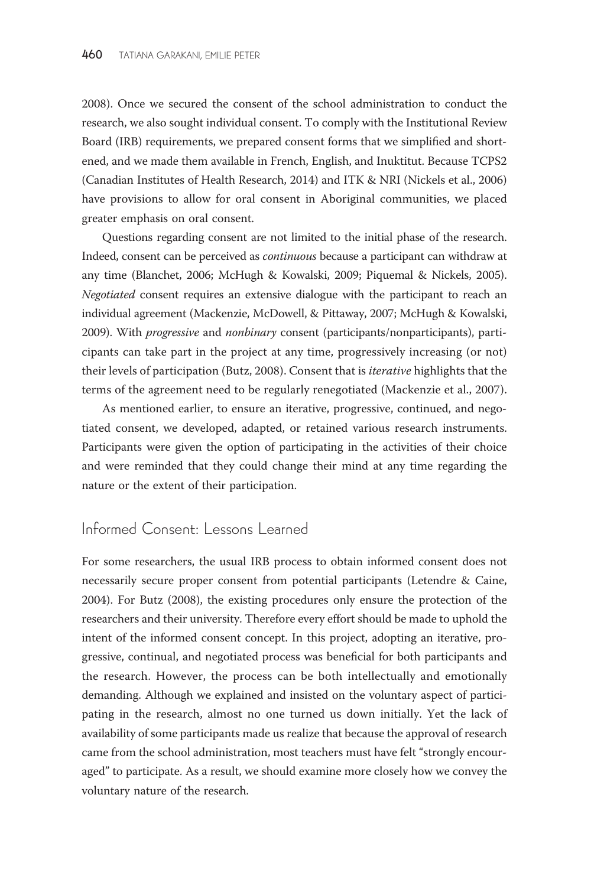2008). Once we secured the consent of the school administration to conduct the research, we also sought individual consent. To comply with the Institutional Review Board (IRB) requirements, we prepared consent forms that we simplified and shortened, and we made them available in French, English, and Inuktitut. Because TCPS2 (Canadian Institutes of Health Research, 2014) and ITK & NRI (Nickels et al., 2006) have provisions to allow for oral consent in Aboriginal communities, we placed greater emphasis on oral consent.

Questions regarding consent are not limited to the initial phase of the research. Indeed, consent can be perceived as continuous because a participant can withdraw at any time (Blanchet, 2006; McHugh & Kowalski, 2009; Piquemal & Nickels, 2005). Negotiated consent requires an extensive dialogue with the participant to reach an individual agreement (Mackenzie, McDowell, & Pittaway, 2007; McHugh & Kowalski, 2009). With progressive and nonbinary consent (participants/nonparticipants), participants can take part in the project at any time, progressively increasing (or not) their levels of participation (Butz, 2008). Consent that is *iterative* highlights that the terms of the agreement need to be regularly renegotiated (Mackenzie et al., 2007).

As mentioned earlier, to ensure an iterative, progressive, continued, and negotiated consent, we developed, adapted, or retained various research instruments. Participants were given the option of participating in the activities of their choice and were reminded that they could change their mind at any time regarding the nature or the extent of their participation.

### Informed Consent: Lessons Learned

For some researchers, the usual IRB process to obtain informed consent does not necessarily secure proper consent from potential participants (Letendre & Caine, 2004). For Butz (2008), the existing procedures only ensure the protection of the researchers and their university. Therefore every effort should be made to uphold the intent of the informed consent concept. In this project, adopting an iterative, progressive, continual, and negotiated process was beneficial for both participants and the research. However, the process can be both intellectually and emotionally demanding. Although we explained and insisted on the voluntary aspect of participating in the research, almost no one turned us down initially. Yet the lack of availability of some participants made us realize that because the approval of research came from the school administration, most teachers must have felt ''strongly encouraged'' to participate. As a result, we should examine more closely how we convey the voluntary nature of the research.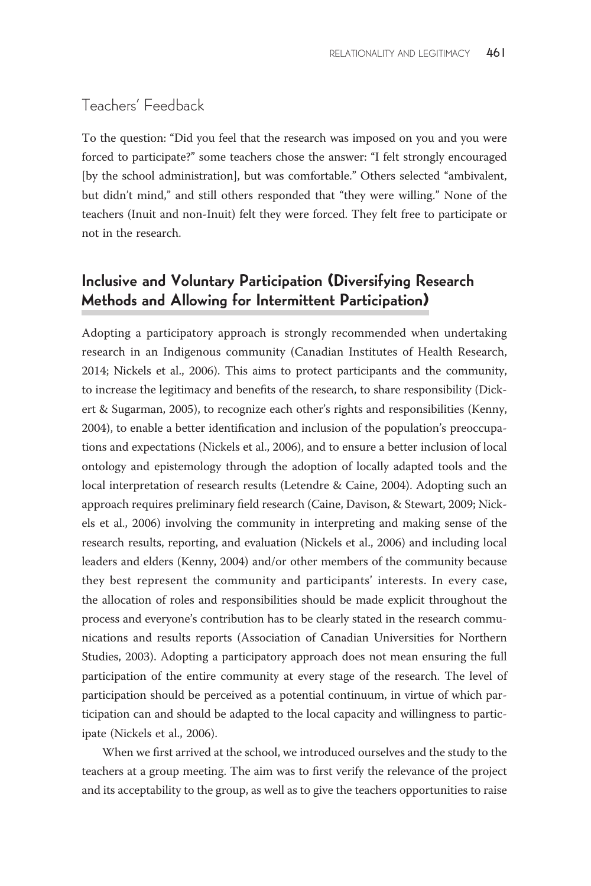## Teachers' Feedback

To the question: ''Did you feel that the research was imposed on you and you were forced to participate?'' some teachers chose the answer: ''I felt strongly encouraged [by the school administration], but was comfortable.'' Others selected ''ambivalent, but didn't mind,'' and still others responded that ''they were willing.'' None of the teachers (Inuit and non-Inuit) felt they were forced. They felt free to participate or not in the research.

# Inclusive and Voluntary Participation (Diversifying Research Methods and Allowing for Intermittent Participation)

Adopting a participatory approach is strongly recommended when undertaking research in an Indigenous community (Canadian Institutes of Health Research, 2014; Nickels et al., 2006). This aims to protect participants and the community, to increase the legitimacy and benefits of the research, to share responsibility (Dickert & Sugarman, 2005), to recognize each other's rights and responsibilities (Kenny, 2004), to enable a better identification and inclusion of the population's preoccupations and expectations (Nickels et al., 2006), and to ensure a better inclusion of local ontology and epistemology through the adoption of locally adapted tools and the local interpretation of research results (Letendre & Caine, 2004). Adopting such an approach requires preliminary field research (Caine, Davison, & Stewart, 2009; Nickels et al., 2006) involving the community in interpreting and making sense of the research results, reporting, and evaluation (Nickels et al., 2006) and including local leaders and elders (Kenny, 2004) and/or other members of the community because they best represent the community and participants' interests. In every case, the allocation of roles and responsibilities should be made explicit throughout the process and everyone's contribution has to be clearly stated in the research communications and results reports (Association of Canadian Universities for Northern Studies, 2003). Adopting a participatory approach does not mean ensuring the full participation of the entire community at every stage of the research. The level of participation should be perceived as a potential continuum, in virtue of which participation can and should be adapted to the local capacity and willingness to participate (Nickels et al., 2006).

When we first arrived at the school, we introduced ourselves and the study to the teachers at a group meeting. The aim was to first verify the relevance of the project and its acceptability to the group, as well as to give the teachers opportunities to raise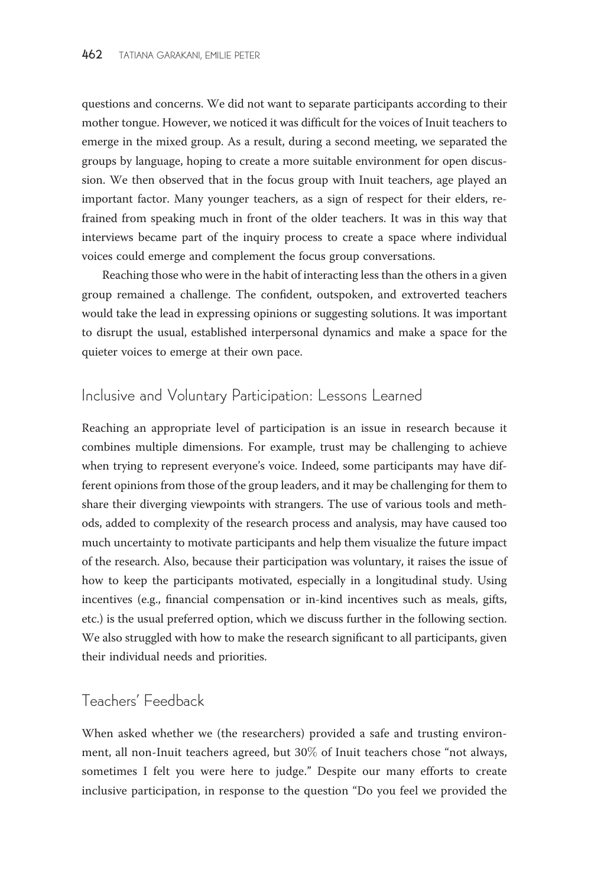questions and concerns. We did not want to separate participants according to their mother tongue. However, we noticed it was difficult for the voices of Inuit teachers to emerge in the mixed group. As a result, during a second meeting, we separated the groups by language, hoping to create a more suitable environment for open discussion. We then observed that in the focus group with Inuit teachers, age played an important factor. Many younger teachers, as a sign of respect for their elders, refrained from speaking much in front of the older teachers. It was in this way that interviews became part of the inquiry process to create a space where individual voices could emerge and complement the focus group conversations.

Reaching those who were in the habit of interacting less than the others in a given group remained a challenge. The confident, outspoken, and extroverted teachers would take the lead in expressing opinions or suggesting solutions. It was important to disrupt the usual, established interpersonal dynamics and make a space for the quieter voices to emerge at their own pace.

# Inclusive and Voluntary Participation: Lessons Learned

Reaching an appropriate level of participation is an issue in research because it combines multiple dimensions. For example, trust may be challenging to achieve when trying to represent everyone's voice. Indeed, some participants may have different opinions from those of the group leaders, and it may be challenging for them to share their diverging viewpoints with strangers. The use of various tools and methods, added to complexity of the research process and analysis, may have caused too much uncertainty to motivate participants and help them visualize the future impact of the research. Also, because their participation was voluntary, it raises the issue of how to keep the participants motivated, especially in a longitudinal study. Using incentives (e.g., financial compensation or in-kind incentives such as meals, gifts, etc.) is the usual preferred option, which we discuss further in the following section. We also struggled with how to make the research significant to all participants, given their individual needs and priorities.

#### Teachers' Feedback

When asked whether we (the researchers) provided a safe and trusting environment, all non-Inuit teachers agreed, but 30% of Inuit teachers chose "not always, sometimes I felt you were here to judge.'' Despite our many efforts to create inclusive participation, in response to the question ''Do you feel we provided the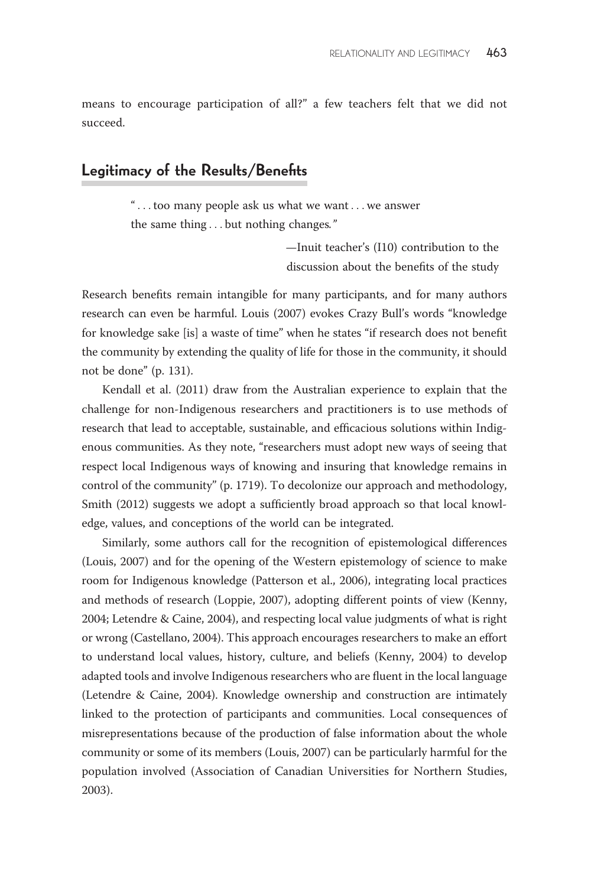means to encourage participation of all?'' a few teachers felt that we did not succeed.

#### Legitimacy of the Results/Benefits

'' ... too many people ask us what we want ...we answer the same thing ... but nothing changes.''

> —Inuit teacher's (I10) contribution to the discussion about the benefits of the study

Research benefits remain intangible for many participants, and for many authors research can even be harmful. Louis (2007) evokes Crazy Bull's words ''knowledge for knowledge sake [is] a waste of time'' when he states ''if research does not benefit the community by extending the quality of life for those in the community, it should not be done'' (p. 131).

Kendall et al. (2011) draw from the Australian experience to explain that the challenge for non-Indigenous researchers and practitioners is to use methods of research that lead to acceptable, sustainable, and efficacious solutions within Indigenous communities. As they note, ''researchers must adopt new ways of seeing that respect local Indigenous ways of knowing and insuring that knowledge remains in control of the community'' (p. 1719). To decolonize our approach and methodology, Smith (2012) suggests we adopt a sufficiently broad approach so that local knowledge, values, and conceptions of the world can be integrated.

Similarly, some authors call for the recognition of epistemological differences (Louis, 2007) and for the opening of the Western epistemology of science to make room for Indigenous knowledge (Patterson et al., 2006), integrating local practices and methods of research (Loppie, 2007), adopting different points of view (Kenny, 2004; Letendre & Caine, 2004), and respecting local value judgments of what is right or wrong (Castellano, 2004). This approach encourages researchers to make an effort to understand local values, history, culture, and beliefs (Kenny, 2004) to develop adapted tools and involve Indigenous researchers who are fluent in the local language (Letendre & Caine, 2004). Knowledge ownership and construction are intimately linked to the protection of participants and communities. Local consequences of misrepresentations because of the production of false information about the whole community or some of its members (Louis, 2007) can be particularly harmful for the population involved (Association of Canadian Universities for Northern Studies, 2003).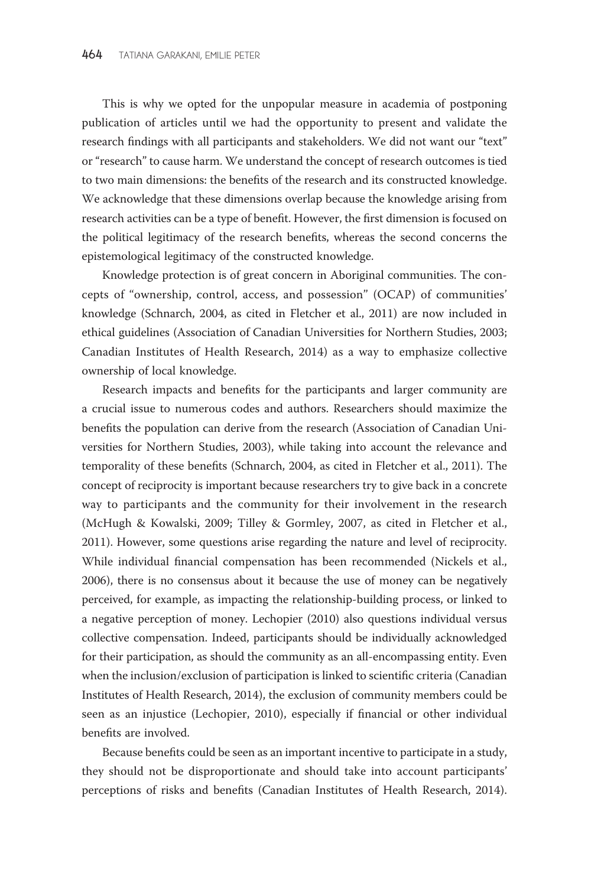This is why we opted for the unpopular measure in academia of postponing publication of articles until we had the opportunity to present and validate the research findings with all participants and stakeholders. We did not want our "text" or ''research'' to cause harm. We understand the concept of research outcomes is tied to two main dimensions: the benefits of the research and its constructed knowledge. We acknowledge that these dimensions overlap because the knowledge arising from research activities can be a type of benefit. However, the first dimension is focused on the political legitimacy of the research benefits, whereas the second concerns the epistemological legitimacy of the constructed knowledge.

Knowledge protection is of great concern in Aboriginal communities. The concepts of ''ownership, control, access, and possession'' (OCAP) of communities' knowledge (Schnarch, 2004, as cited in Fletcher et al., 2011) are now included in ethical guidelines (Association of Canadian Universities for Northern Studies, 2003; Canadian Institutes of Health Research, 2014) as a way to emphasize collective ownership of local knowledge.

Research impacts and benefits for the participants and larger community are a crucial issue to numerous codes and authors. Researchers should maximize the benefits the population can derive from the research (Association of Canadian Universities for Northern Studies, 2003), while taking into account the relevance and temporality of these benefits (Schnarch, 2004, as cited in Fletcher et al., 2011). The concept of reciprocity is important because researchers try to give back in a concrete way to participants and the community for their involvement in the research (McHugh & Kowalski, 2009; Tilley & Gormley, 2007, as cited in Fletcher et al., 2011). However, some questions arise regarding the nature and level of reciprocity. While individual financial compensation has been recommended (Nickels et al., 2006), there is no consensus about it because the use of money can be negatively perceived, for example, as impacting the relationship-building process, or linked to a negative perception of money. Lechopier (2010) also questions individual versus collective compensation. Indeed, participants should be individually acknowledged for their participation, as should the community as an all-encompassing entity. Even when the inclusion/exclusion of participation is linked to scientific criteria (Canadian Institutes of Health Research, 2014), the exclusion of community members could be seen as an injustice (Lechopier, 2010), especially if financial or other individual benefits are involved.

Because benefits could be seen as an important incentive to participate in a study, they should not be disproportionate and should take into account participants' perceptions of risks and benefits (Canadian Institutes of Health Research, 2014).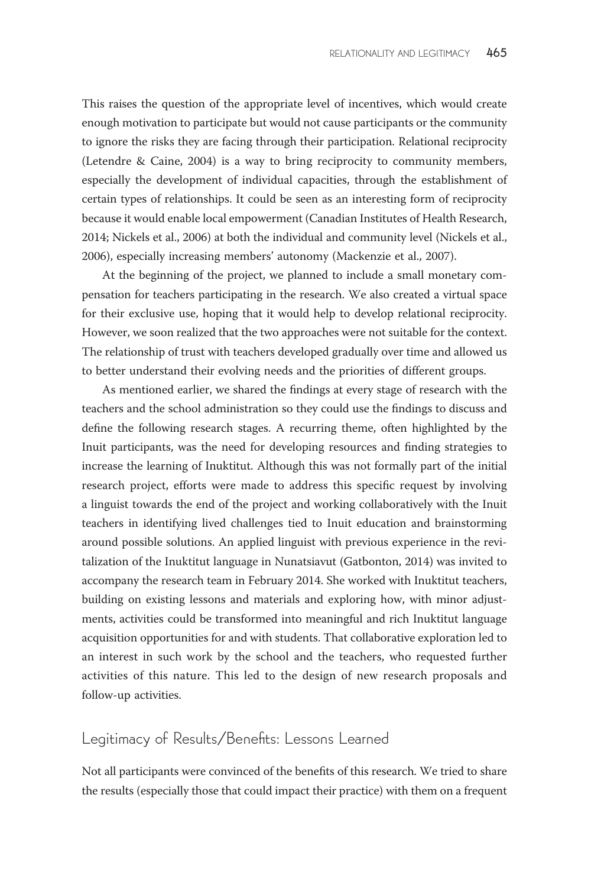This raises the question of the appropriate level of incentives, which would create enough motivation to participate but would not cause participants or the community to ignore the risks they are facing through their participation. Relational reciprocity (Letendre & Caine, 2004) is a way to bring reciprocity to community members, especially the development of individual capacities, through the establishment of certain types of relationships. It could be seen as an interesting form of reciprocity because it would enable local empowerment (Canadian Institutes of Health Research, 2014; Nickels et al., 2006) at both the individual and community level (Nickels et al., 2006), especially increasing members' autonomy (Mackenzie et al., 2007).

At the beginning of the project, we planned to include a small monetary compensation for teachers participating in the research. We also created a virtual space for their exclusive use, hoping that it would help to develop relational reciprocity. However, we soon realized that the two approaches were not suitable for the context. The relationship of trust with teachers developed gradually over time and allowed us to better understand their evolving needs and the priorities of different groups.

As mentioned earlier, we shared the findings at every stage of research with the teachers and the school administration so they could use the findings to discuss and define the following research stages. A recurring theme, often highlighted by the Inuit participants, was the need for developing resources and finding strategies to increase the learning of Inuktitut. Although this was not formally part of the initial research project, efforts were made to address this specific request by involving a linguist towards the end of the project and working collaboratively with the Inuit teachers in identifying lived challenges tied to Inuit education and brainstorming around possible solutions. An applied linguist with previous experience in the revitalization of the Inuktitut language in Nunatsiavut (Gatbonton, 2014) was invited to accompany the research team in February 2014. She worked with Inuktitut teachers, building on existing lessons and materials and exploring how, with minor adjustments, activities could be transformed into meaningful and rich Inuktitut language acquisition opportunities for and with students. That collaborative exploration led to an interest in such work by the school and the teachers, who requested further activities of this nature. This led to the design of new research proposals and follow-up activities.

## Legitimacy of Results/Benefits: Lessons Learned

Not all participants were convinced of the benefits of this research. We tried to share the results (especially those that could impact their practice) with them on a frequent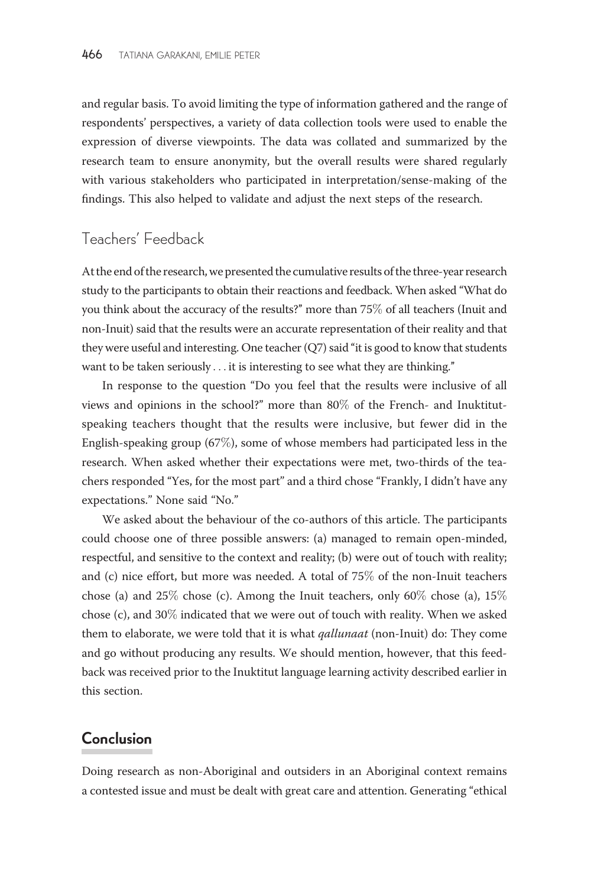and regular basis. To avoid limiting the type of information gathered and the range of respondents' perspectives, a variety of data collection tools were used to enable the expression of diverse viewpoints. The data was collated and summarized by the research team to ensure anonymity, but the overall results were shared regularly with various stakeholders who participated in interpretation/sense-making of the findings. This also helped to validate and adjust the next steps of the research.

#### Teachers' Feedback

At the end of the research, we presented the cumulative results of the three-year research study to the participants to obtain their reactions and feedback. When asked ''What do you think about the accuracy of the results?'' more than 75% of all teachers (Inuit and non-Inuit) said that the results were an accurate representation of their reality and that they were useful and interesting. One teacher (Q7) said ''it is good to know that students want to be taken seriously ... it is interesting to see what they are thinking.''

In response to the question ''Do you feel that the results were inclusive of all views and opinions in the school?'' more than 80% of the French- and Inuktitutspeaking teachers thought that the results were inclusive, but fewer did in the English-speaking group (67%), some of whose members had participated less in the research. When asked whether their expectations were met, two-thirds of the teachers responded ''Yes, for the most part'' and a third chose ''Frankly, I didn't have any expectations.'' None said ''No.''

We asked about the behaviour of the co-authors of this article. The participants could choose one of three possible answers: (a) managed to remain open-minded, respectful, and sensitive to the context and reality; (b) were out of touch with reality; and (c) nice effort, but more was needed. A total of 75% of the non-Inuit teachers chose (a) and  $25\%$  chose (c). Among the Inuit teachers, only 60% chose (a),  $15\%$ chose (c), and 30% indicated that we were out of touch with reality. When we asked them to elaborate, we were told that it is what *qallunaat* (non-Inuit) do: They come and go without producing any results. We should mention, however, that this feedback was received prior to the Inuktitut language learning activity described earlier in this section.

## Conclusion

Doing research as non-Aboriginal and outsiders in an Aboriginal context remains a contested issue and must be dealt with great care and attention. Generating ''ethical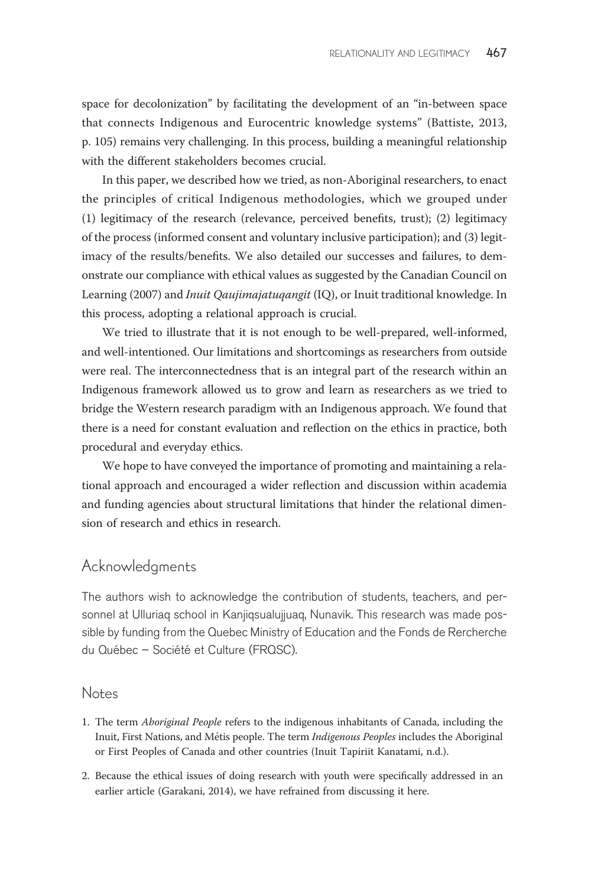space for decolonization'' by facilitating the development of an ''in-between space that connects Indigenous and Eurocentric knowledge systems'' (Battiste, 2013, p. 105) remains very challenging. In this process, building a meaningful relationship with the different stakeholders becomes crucial.

In this paper, we described how we tried, as non-Aboriginal researchers, to enact the principles of critical Indigenous methodologies, which we grouped under (1) legitimacy of the research (relevance, perceived benefits, trust); (2) legitimacy of the process (informed consent and voluntary inclusive participation); and (3) legitimacy of the results/benefits. We also detailed our successes and failures, to demonstrate our compliance with ethical values as suggested by the Canadian Council on Learning (2007) and Inuit Qaujimajatuqangit (IQ), or Inuit traditional knowledge. In this process, adopting a relational approach is crucial.

We tried to illustrate that it is not enough to be well-prepared, well-informed, and well-intentioned. Our limitations and shortcomings as researchers from outside were real. The interconnectedness that is an integral part of the research within an Indigenous framework allowed us to grow and learn as researchers as we tried to bridge the Western research paradigm with an Indigenous approach. We found that there is a need for constant evaluation and reflection on the ethics in practice, both procedural and everyday ethics.

We hope to have conveyed the importance of promoting and maintaining a relational approach and encouraged a wider reflection and discussion within academia and funding agencies about structural limitations that hinder the relational dimension of research and ethics in research.

#### Acknowledgments

The authors wish to acknowledge the contribution of students, teachers, and personnel at Ulluriaq school in Kanjiqsualujjuaq, Nunavik. This research was made possible by funding from the Quebec Ministry of Education and the Fonds de Rercherche du Québec – Société et Culture (FRQSC).

#### Notes

- 1. The term Aboriginal People refers to the indigenous inhabitants of Canada, including the Inuit, First Nations, and Métis people. The term Indigenous Peoples includes the Aboriginal or First Peoples of Canada and other countries (Inuit Tapiriit Kanatami, n.d.).
- 2. Because the ethical issues of doing research with youth were specifically addressed in an earlier article (Garakani, 2014), we have refrained from discussing it here.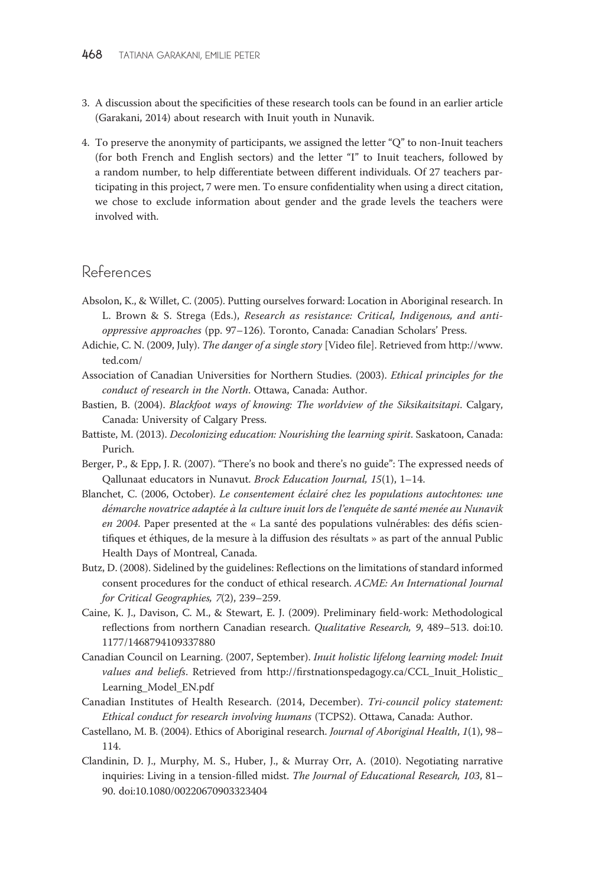- 3. A discussion about the specificities of these research tools can be found in an earlier article (Garakani, 2014) about research with Inuit youth in Nunavik.
- 4. To preserve the anonymity of participants, we assigned the letter ''Q'' to non-Inuit teachers (for both French and English sectors) and the letter ''I'' to Inuit teachers, followed by a random number, to help differentiate between different individuals. Of 27 teachers participating in this project, 7 were men. To ensure confidentiality when using a direct citation, we chose to exclude information about gender and the grade levels the teachers were involved with.

### References

- Absolon, K., & Willet, C. (2005). Putting ourselves forward: Location in Aboriginal research. In L. Brown & S. Strega (Eds.), Research as resistance: Critical, Indigenous, and antioppressive approaches (pp. 97–126). Toronto, Canada: Canadian Scholars' Press.
- Adichie, C. N. (2009, July). The danger of a single story [Video file]. Retrieved from [http://www.](http://www.ted.com/) [ted.com/](http://www.ted.com/)
- Association of Canadian Universities for Northern Studies. (2003). Ethical principles for the conduct of research in the North. Ottawa, Canada: Author.
- Bastien, B. (2004). Blackfoot ways of knowing: The worldview of the Siksikaitsitapi. Calgary, Canada: University of Calgary Press.
- Battiste, M. (2013). Decolonizing education: Nourishing the learning spirit. Saskatoon, Canada: Purich.
- Berger, P., & Epp, J. R. (2007). "There's no book and there's no guide": The expressed needs of Qallunaat educators in Nunavut. Brock Education Journal, 15(1), 1–14.
- Blanchet, C. (2006, October). Le consentement éclairé chez les populations autochtones: une démarche novatrice adaptée à la culture inuit lors de l'enquête de santé menée au Nunavik en 2004. Paper presented at the « La santé des populations vulnérables: des défis scientifiques et éthiques, de la mesure à la diffusion des résultats » as part of the annual Public Health Days of Montreal, Canada.
- Butz, D. (2008). Sidelined by the guidelines: Reflections on the limitations of standard informed consent procedures for the conduct of ethical research. ACME: An International Journal for Critical Geographies, 7(2), 239–259.
- Caine, K. J., Davison, C. M., & Stewart, E. J. (2009). Preliminary field-work: Methodological reflections from northern Canadian research. Qualitative Research, 9, 489–513. doi:10. 1177/1468794109337880
- Canadian Council on Learning. (2007, September). Inuit holistic lifelong learning model: Inuit values and beliefs. Retrieved from http://firstnationspedagogy.ca/CCL\_Inuit\_Holistic [Learning\\_Model\\_EN.pdf](http://firstnationspedagogy.ca/CCL_Inuit_Holistic_Learning_Model_EN.pdf)
- Canadian Institutes of Health Research. (2014, December). Tri-council policy statement: Ethical conduct for research involving humans (TCPS2). Ottawa, Canada: Author.
- Castellano, M. B. (2004). Ethics of Aboriginal research. Journal of Aboriginal Health, 1(1), 98– 114.
- Clandinin, D. J., Murphy, M. S., Huber, J., & Murray Orr, A. (2010). Negotiating narrative inquiries: Living in a tension-filled midst. The Journal of Educational Research, 103, 81-90. doi:10.1080/00220670903323404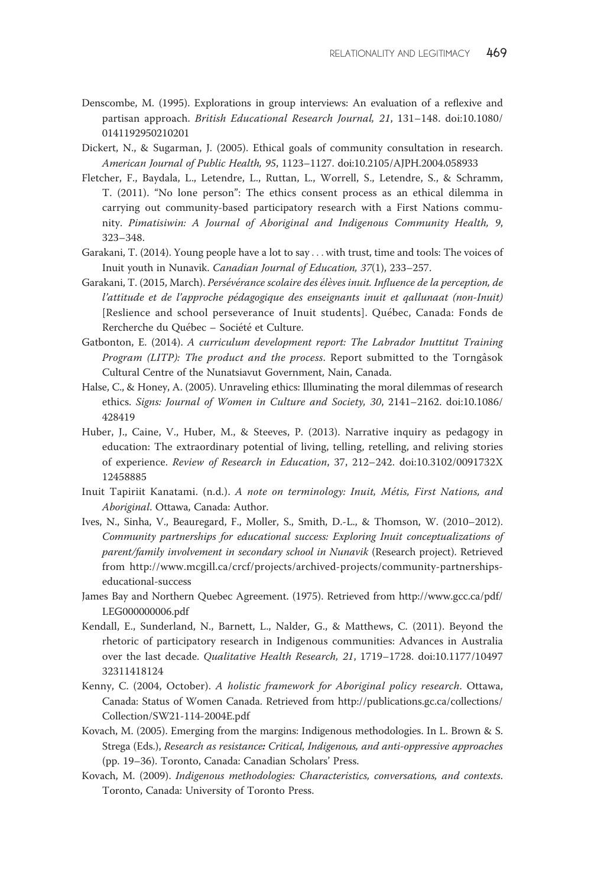- Denscombe, M. (1995). Explorations in group interviews: An evaluation of a reflexive and partisan approach. British Educational Research Journal, 21, 131-148. doi:10.1080/ 0141192950210201
- Dickert, N., & Sugarman, J. (2005). Ethical goals of community consultation in research. American Journal of Public Health, 95, 1123–1127. doi:10.2105/AJPH.2004.058933
- Fletcher, F., Baydala, L., Letendre, L., Ruttan, L., Worrell, S., Letendre, S., & Schramm, T. (2011). ''No lone person'': The ethics consent process as an ethical dilemma in carrying out community-based participatory research with a First Nations community. Pimatisiwin: A Journal of Aboriginal and Indigenous Community Health, 9, 323–348.
- Garakani, T. (2014). Young people have a lot to say ...with trust, time and tools: The voices of Inuit youth in Nunavik. Canadian Journal of Education, 37(1), 233–257.
- Garakani, T. (2015, March). Persévérance scolaire des élèves inuit. Influence de la perception, de l'attitude et de l'approche pédagogique des enseignants inuit et qallunaat (non-Inuit) [Reslience and school perseverance of Inuit students]. Québec, Canada: Fonds de Rercherche du Québec – Société et Culture.
- Gatbonton, E. (2014). A curriculum development report: The Labrador Inuttitut Training Program (LITP): The product and the process. Report submitted to the Torngâsok Cultural Centre of the Nunatsiavut Government, Nain, Canada.
- Halse, C., & Honey, A. (2005). Unraveling ethics: Illuminating the moral dilemmas of research ethics. Signs: Journal of Women in Culture and Society, 30, 2141–2162. doi:10.1086/ 428419
- Huber, J., Caine, V., Huber, M., & Steeves, P. (2013). Narrative inquiry as pedagogy in education: The extraordinary potential of living, telling, retelling, and reliving stories of experience. Review of Research in Education, 37, 212–242. doi:10.3102/0091732X 12458885
- Inuit Tapiriit Kanatami. (n.d.). A note on terminology: Inuit, Métis, First Nations, and Aboriginal. Ottawa, Canada: Author.
- Ives, N., Sinha, V., Beauregard, F., Moller, S., Smith, D.-L., & Thomson, W. (2010–2012). Community partnerships for educational success: Exploring Inuit conceptualizations of parent/family involvement in secondary school in Nunavik (Research project). Retrieved from [http://www.mcgill.ca/crcf/projects/archived-projects/community-partnerships](http://www.mcgill.ca/crcf/projects/archived-projects/community-partnerships-educational-success)[educational-success](http://www.mcgill.ca/crcf/projects/archived-projects/community-partnerships-educational-success)
- James Bay and Northern Quebec Agreement. (1975). Retrieved from [http://www.gcc.ca/pdf/](http://www.gcc.ca/pdf/LEG000000006.pdf) [LEG000000006.pdf](http://www.gcc.ca/pdf/LEG000000006.pdf)
- Kendall, E., Sunderland, N., Barnett, L., Nalder, G., & Matthews, C. (2011). Beyond the rhetoric of participatory research in Indigenous communities: Advances in Australia over the last decade. Qualitative Health Research, 21, 1719–1728. doi:10.1177/10497 32311418124
- Kenny, C. (2004, October). A holistic framework for Aboriginal policy research. Ottawa, Canada: Status of Women Canada. Retrieved from [http://publications.gc.ca/collections/](http://publications.gc.ca/collections/Collection/SW21-114-2004E.pdf) [Collection/SW21-114-2004E.pdf](http://publications.gc.ca/collections/Collection/SW21-114-2004E.pdf)
- Kovach, M. (2005). Emerging from the margins: Indigenous methodologies. In L. Brown & S. Strega (Eds.), Research as resistance: Critical, Indigenous, and anti-oppressive approaches (pp. 19–36). Toronto, Canada: Canadian Scholars' Press.
- Kovach, M. (2009). Indigenous methodologies: Characteristics, conversations, and contexts. Toronto, Canada: University of Toronto Press.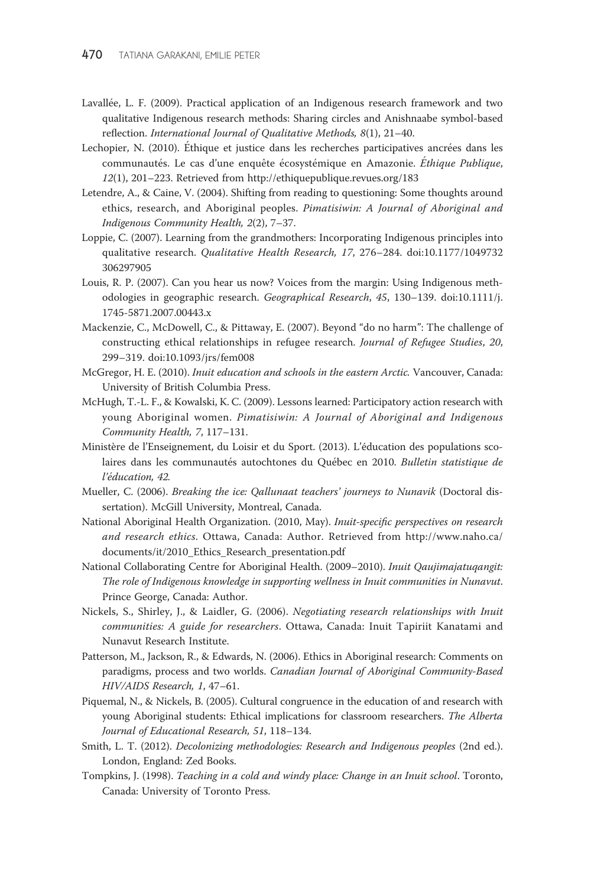- Lavallée, L. F. (2009). Practical application of an Indigenous research framework and two qualitative Indigenous research methods: Sharing circles and Anishnaabe symbol-based reflection. International Journal of Qualitative Methods, 8(1), 21–40.
- Lechopier, N. (2010). Éthique et justice dans les recherches participatives ancrées dans les communautés. Le cas d'une enquête écosystémique en Amazonie. Éthique Publique, 12(1), 201–223. Retrieved from<http://ethiquepublique.revues.org/183>
- Letendre, A., & Caine, V. (2004). Shifting from reading to questioning: Some thoughts around ethics, research, and Aboriginal peoples. Pimatisiwin: A Journal of Aboriginal and Indigenous Community Health, 2(2), 7–37.
- Loppie, C. (2007). Learning from the grandmothers: Incorporating Indigenous principles into qualitative research. Qualitative Health Research, 17, 276–284. doi:10.1177/1049732 306297905
- Louis, R. P. (2007). Can you hear us now? Voices from the margin: Using Indigenous methodologies in geographic research. Geographical Research, 45, 130–139. doi:10.1111/j. 1745-5871.2007.00443.x
- Mackenzie, C., McDowell, C., & Pittaway, E. (2007). Beyond ''do no harm'': The challenge of constructing ethical relationships in refugee research. Journal of Refugee Studies, 20, 299–319. doi:10.1093/jrs/fem008
- McGregor, H. E. (2010). Inuit education and schools in the eastern Arctic. Vancouver, Canada: University of British Columbia Press.
- McHugh, T.-L. F., & Kowalski, K. C. (2009). Lessons learned: Participatory action research with young Aboriginal women. Pimatisiwin: A Journal of Aboriginal and Indigenous Community Health, 7, 117–131.
- Ministère de l'Enseignement, du Loisir et du Sport. (2013). L'éducation des populations scolaires dans les communautés autochtones du Québec en 2010. Bulletin statistique de l'éducation, 42.
- Mueller, C. (2006). Breaking the ice: Qallunaat teachers' journeys to Nunavik (Doctoral dissertation). McGill University, Montreal, Canada.
- National Aboriginal Health Organization. (2010, May). Inuit-specific perspectives on research and research ethics. Ottawa, Canada: Author. Retrieved from [http://www.naho.ca/](http://www.naho.ca/documents/it/2010_Ethics_Research_presentation.pdf) [documents/it/2010\\_Ethics\\_Research\\_presentation.pdf](http://www.naho.ca/documents/it/2010_Ethics_Research_presentation.pdf)
- National Collaborating Centre for Aboriginal Health. (2009–2010). Inuit Qaujimajatuqangit: The role of Indigenous knowledge in supporting wellness in Inuit communities in Nunavut. Prince George, Canada: Author.
- Nickels, S., Shirley, J., & Laidler, G. (2006). Negotiating research relationships with Inuit communities: A guide for researchers. Ottawa, Canada: Inuit Tapiriit Kanatami and Nunavut Research Institute.
- Patterson, M., Jackson, R., & Edwards, N. (2006). Ethics in Aboriginal research: Comments on paradigms, process and two worlds. Canadian Journal of Aboriginal Community-Based HIV/AIDS Research, 1, 47–61.
- Piquemal, N., & Nickels, B. (2005). Cultural congruence in the education of and research with young Aboriginal students: Ethical implications for classroom researchers. The Alberta Journal of Educational Research, 51, 118–134.
- Smith, L. T. (2012). Decolonizing methodologies: Research and Indigenous peoples (2nd ed.). London, England: Zed Books.
- Tompkins, J. (1998). Teaching in a cold and windy place: Change in an Inuit school. Toronto, Canada: University of Toronto Press.